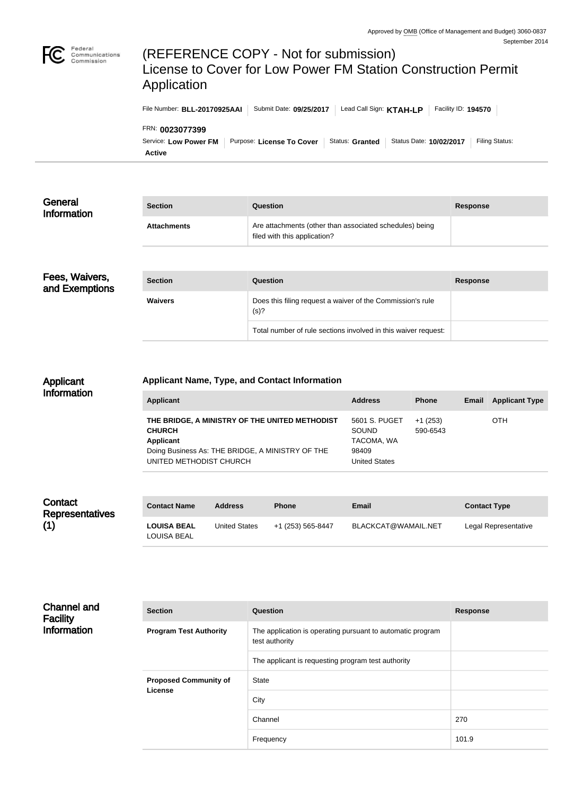

# (REFERENCE COPY - Not for submission) License to Cover for Low Power FM Station Construction Permit Application

Service: Low Power FM | Purpose: License To Cover | Status: Granted | Status Date: 10/02/2017 | Filing Status: FRN: **0023077399** File Number: **BLL-20170925AAI** Submit Date: **09/25/2017** Lead Call Sign: **KTAH-LP** Facility ID: 194570

**Active**

| Are attachments (other than associated schedules) being<br><b>Attachments</b><br>filed with this application? | General<br><b>Information</b> | <b>Section</b> | <b>Question</b> | <b>Response</b> |
|---------------------------------------------------------------------------------------------------------------|-------------------------------|----------------|-----------------|-----------------|
|                                                                                                               |                               |                |                 |                 |

| Fees, Waivers,<br>and Exemptions | <b>Section</b> | Question                                                           | Response |
|----------------------------------|----------------|--------------------------------------------------------------------|----------|
|                                  | <b>Waivers</b> | Does this filing request a waiver of the Commission's rule<br>(s)? |          |
|                                  |                | Total number of rule sections involved in this waiver request:     |          |

#### Applicant Information

### **Applicant Name, Type, and Contact Information**

| Applicant                                                                                                                                                   | <b>Address</b>                                                        | <b>Phone</b>          | Email | <b>Applicant Type</b> |
|-------------------------------------------------------------------------------------------------------------------------------------------------------------|-----------------------------------------------------------------------|-----------------------|-------|-----------------------|
| THE BRIDGE, A MINISTRY OF THE UNITED METHODIST<br><b>CHURCH</b><br>Applicant<br>Doing Business As: THE BRIDGE, A MINISTRY OF THE<br>UNITED METHODIST CHURCH | 5601 S. PUGET<br><b>SOUND</b><br>TACOMA, WA<br>98409<br>United States | $+1(253)$<br>590-6543 |       | <b>OTH</b>            |

| Contact<br><b>Representatives</b> | <b>Contact Name</b>               | <b>Address</b>       | <b>Phone</b>      | Email               | <b>Contact Type</b>  |
|-----------------------------------|-----------------------------------|----------------------|-------------------|---------------------|----------------------|
| (1)                               | <b>LOUISA BEAL</b><br>LOUISA BEAL | <b>United States</b> | +1 (253) 565-8447 | BLACKCAT@WAMAIL.NET | Legal Representative |

| <b>Channel and</b><br><b>Facility</b> | <b>Section</b>                          | <b>Question</b>                                                              | <b>Response</b> |
|---------------------------------------|-----------------------------------------|------------------------------------------------------------------------------|-----------------|
| <b>Information</b>                    | <b>Program Test Authority</b>           | The application is operating pursuant to automatic program<br>test authority |                 |
|                                       |                                         | The applicant is requesting program test authority                           |                 |
|                                       | <b>Proposed Community of</b><br>License | <b>State</b>                                                                 |                 |
|                                       |                                         | City                                                                         |                 |
|                                       |                                         | Channel                                                                      | 270             |
|                                       |                                         | Frequency                                                                    | 101.9           |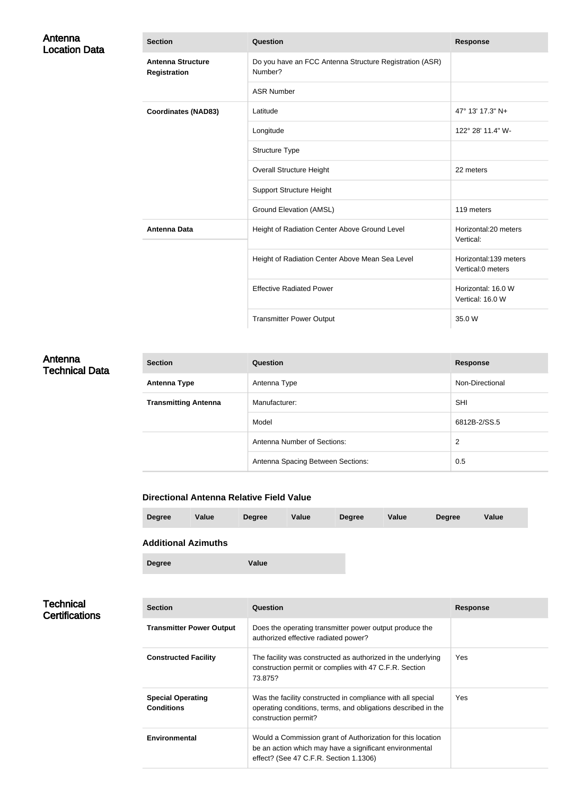| Antenna<br><b>Location Data</b> | <b>Section</b>                                  | Question                                                           | <b>Response</b>                            |
|---------------------------------|-------------------------------------------------|--------------------------------------------------------------------|--------------------------------------------|
|                                 | <b>Antenna Structure</b><br><b>Registration</b> | Do you have an FCC Antenna Structure Registration (ASR)<br>Number? |                                            |
|                                 |                                                 | <b>ASR Number</b>                                                  |                                            |
|                                 | <b>Coordinates (NAD83)</b>                      | Latitude                                                           | 47° 13' 17.3" N+                           |
|                                 |                                                 | Longitude                                                          | 122° 28' 11.4" W-                          |
|                                 |                                                 | Structure Type                                                     |                                            |
|                                 |                                                 | Overall Structure Height                                           | 22 meters                                  |
|                                 |                                                 | <b>Support Structure Height</b>                                    |                                            |
|                                 |                                                 | <b>Ground Elevation (AMSL)</b>                                     | 119 meters                                 |
|                                 | <b>Antenna Data</b>                             | Height of Radiation Center Above Ground Level                      | Horizontal:20 meters<br>Vertical:          |
|                                 |                                                 | Height of Radiation Center Above Mean Sea Level                    | Horizontal:139 meters<br>Vertical:0 meters |
|                                 |                                                 | <b>Effective Radiated Power</b>                                    | Horizontal: 16.0 W<br>Vertical: 16.0 W     |
|                                 |                                                 | <b>Transmitter Power Output</b>                                    | 35.0 W                                     |

## Antenna Technical Data

| <b>Section</b>              | Question                          | <b>Response</b> |
|-----------------------------|-----------------------------------|-----------------|
| <b>Antenna Type</b>         | Antenna Type                      | Non-Directional |
| <b>Transmitting Antenna</b> | Manufacturer:                     | <b>SHI</b>      |
|                             | Model                             | 6812B-2/SS.5    |
|                             | Antenna Number of Sections:       | 2               |
|                             | Antenna Spacing Between Sections: | 0.5             |

#### **Directional Antenna Relative Field Value**

| <b>Degree</b> | Value                      | <b>Degree</b> | Value | <b>Degree</b> | Value | <b>Degree</b> | <b>Value</b> |  |
|---------------|----------------------------|---------------|-------|---------------|-------|---------------|--------------|--|
|               | <b>Additional Azimuths</b> |               |       |               |       |               |              |  |
| <b>Degree</b> |                            | Value         |       |               |       |               |              |  |

## **Technical Certifications**

| <b>Section</b>                                | Question                                                                                                                                                         | <b>Response</b> |
|-----------------------------------------------|------------------------------------------------------------------------------------------------------------------------------------------------------------------|-----------------|
| <b>Transmitter Power Output</b>               | Does the operating transmitter power output produce the<br>authorized effective radiated power?                                                                  |                 |
| <b>Constructed Facility</b>                   | The facility was constructed as authorized in the underlying<br>construction permit or complies with 47 C.F.R. Section<br>73.875?                                | <b>Yes</b>      |
| <b>Special Operating</b><br><b>Conditions</b> | Was the facility constructed in compliance with all special<br>operating conditions, terms, and obligations described in the<br>construction permit?             | <b>Yes</b>      |
| Environmental                                 | Would a Commission grant of Authorization for this location<br>be an action which may have a significant environmental<br>effect? (See 47 C.F.R. Section 1.1306) |                 |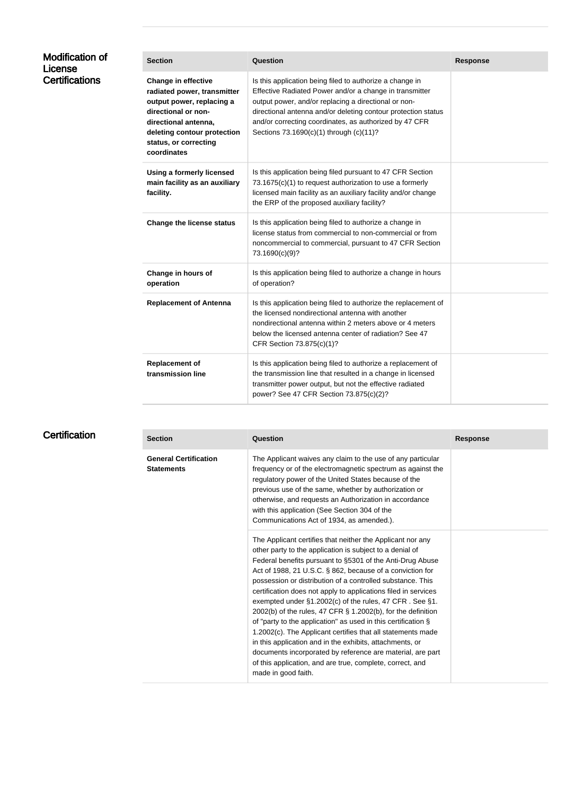| <b>Modification of</b><br>License | <b>Section</b>                                                                                                                                                                                               | Question                                                                                                                                                                                                                                                                                                                                          | <b>Response</b> |
|-----------------------------------|--------------------------------------------------------------------------------------------------------------------------------------------------------------------------------------------------------------|---------------------------------------------------------------------------------------------------------------------------------------------------------------------------------------------------------------------------------------------------------------------------------------------------------------------------------------------------|-----------------|
| <b>Certifications</b>             | <b>Change in effective</b><br>radiated power, transmitter<br>output power, replacing a<br>directional or non-<br>directional antenna,<br>deleting contour protection<br>status, or correcting<br>coordinates | Is this application being filed to authorize a change in<br>Effective Radiated Power and/or a change in transmitter<br>output power, and/or replacing a directional or non-<br>directional antenna and/or deleting contour protection status<br>and/or correcting coordinates, as authorized by 47 CFR<br>Sections 73.1690(c)(1) through (c)(11)? |                 |
|                                   | Using a formerly licensed<br>main facility as an auxiliary<br>facility.                                                                                                                                      | Is this application being filed pursuant to 47 CFR Section<br>73.1675(c)(1) to request authorization to use a formerly<br>licensed main facility as an auxiliary facility and/or change<br>the ERP of the proposed auxiliary facility?                                                                                                            |                 |
|                                   | <b>Change the license status</b>                                                                                                                                                                             | Is this application being filed to authorize a change in<br>license status from commercial to non-commercial or from<br>noncommercial to commercial, pursuant to 47 CFR Section<br>73.1690(c)(9)?                                                                                                                                                 |                 |
|                                   | Change in hours of<br>operation                                                                                                                                                                              | Is this application being filed to authorize a change in hours<br>of operation?                                                                                                                                                                                                                                                                   |                 |
|                                   | <b>Replacement of Antenna</b>                                                                                                                                                                                | Is this application being filed to authorize the replacement of<br>the licensed nondirectional antenna with another<br>nondirectional antenna within 2 meters above or 4 meters<br>below the licensed antenna center of radiation? See 47<br>CFR Section 73.875(c)(1)?                                                                            |                 |
|                                   | <b>Replacement of</b><br>transmission line                                                                                                                                                                   | Is this application being filed to authorize a replacement of<br>the transmission line that resulted in a change in licensed<br>transmitter power output, but not the effective radiated<br>power? See 47 CFR Section 73.875(c)(2)?                                                                                                               |                 |

## **Certification**

| <b>Section</b>                                    | Question                                                                                                                                                                                                                                                                                                                                                                                                                                                                                                                                                                                                                                                                                                                                                                                                                                                     | <b>Response</b> |
|---------------------------------------------------|--------------------------------------------------------------------------------------------------------------------------------------------------------------------------------------------------------------------------------------------------------------------------------------------------------------------------------------------------------------------------------------------------------------------------------------------------------------------------------------------------------------------------------------------------------------------------------------------------------------------------------------------------------------------------------------------------------------------------------------------------------------------------------------------------------------------------------------------------------------|-----------------|
| <b>General Certification</b><br><b>Statements</b> | The Applicant waives any claim to the use of any particular<br>frequency or of the electromagnetic spectrum as against the<br>regulatory power of the United States because of the<br>previous use of the same, whether by authorization or<br>otherwise, and requests an Authorization in accordance<br>with this application (See Section 304 of the<br>Communications Act of 1934, as amended.).                                                                                                                                                                                                                                                                                                                                                                                                                                                          |                 |
|                                                   | The Applicant certifies that neither the Applicant nor any<br>other party to the application is subject to a denial of<br>Federal benefits pursuant to §5301 of the Anti-Drug Abuse<br>Act of 1988, 21 U.S.C. § 862, because of a conviction for<br>possession or distribution of a controlled substance. This<br>certification does not apply to applications filed in services<br>exempted under §1.2002(c) of the rules, 47 CFR. See §1.<br>2002(b) of the rules, 47 CFR $\S$ 1.2002(b), for the definition<br>of "party to the application" as used in this certification §<br>1.2002(c). The Applicant certifies that all statements made<br>in this application and in the exhibits, attachments, or<br>documents incorporated by reference are material, are part<br>of this application, and are true, complete, correct, and<br>made in good faith. |                 |